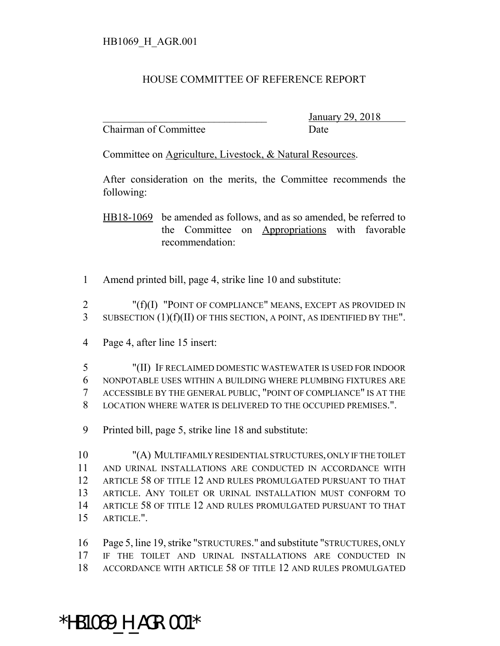## HOUSE COMMITTEE OF REFERENCE REPORT

Chairman of Committee Date

\_\_\_\_\_\_\_\_\_\_\_\_\_\_\_\_\_\_\_\_\_\_\_\_\_\_\_\_\_\_\_ January 29, 2018

Committee on Agriculture, Livestock, & Natural Resources.

After consideration on the merits, the Committee recommends the following:

HB18-1069 be amended as follows, and as so amended, be referred to the Committee on Appropriations with favorable recommendation:

Amend printed bill, page 4, strike line 10 and substitute:

 "(f)(I) "POINT OF COMPLIANCE" MEANS, EXCEPT AS PROVIDED IN SUBSECTION (1)(f)(II) OF THIS SECTION, A POINT, AS IDENTIFIED BY THE".

Page 4, after line 15 insert:

 "(II) IF RECLAIMED DOMESTIC WASTEWATER IS USED FOR INDOOR NONPOTABLE USES WITHIN A BUILDING WHERE PLUMBING FIXTURES ARE ACCESSIBLE BY THE GENERAL PUBLIC, "POINT OF COMPLIANCE" IS AT THE LOCATION WHERE WATER IS DELIVERED TO THE OCCUPIED PREMISES.".

Printed bill, page 5, strike line 18 and substitute:

 "(A) MULTIFAMILY RESIDENTIAL STRUCTURES, ONLY IF THE TOILET AND URINAL INSTALLATIONS ARE CONDUCTED IN ACCORDANCE WITH ARTICLE 58 OF TITLE 12 AND RULES PROMULGATED PURSUANT TO THAT ARTICLE. ANY TOILET OR URINAL INSTALLATION MUST CONFORM TO ARTICLE 58 OF TITLE 12 AND RULES PROMULGATED PURSUANT TO THAT ARTICLE.".

 Page 5, line 19, strike "STRUCTURES." and substitute "STRUCTURES, ONLY IF THE TOILET AND URINAL INSTALLATIONS ARE CONDUCTED IN ACCORDANCE WITH ARTICLE 58 OF TITLE 12 AND RULES PROMULGATED

## \*HB1069 H AGR.001\*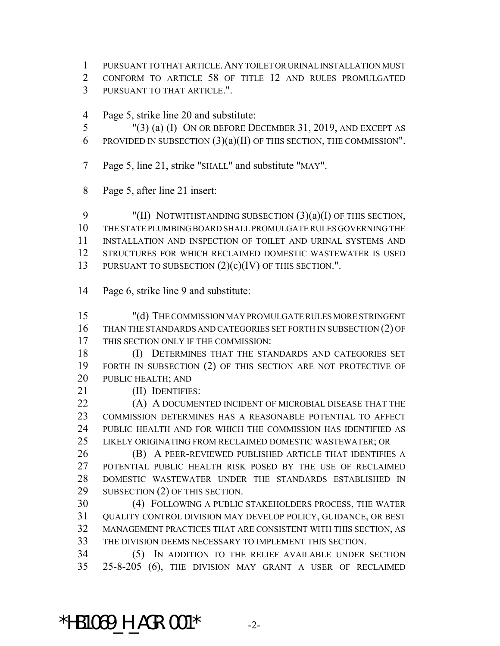PURSUANT TO THAT ARTICLE.ANY TOILET OR URINAL INSTALLATION MUST

 CONFORM TO ARTICLE 58 OF TITLE 12 AND RULES PROMULGATED PURSUANT TO THAT ARTICLE.".

Page 5, strike line 20 and substitute:

 "(3) (a) (I) ON OR BEFORE DECEMBER 31, 2019, AND EXCEPT AS 6 PROVIDED IN SUBSECTION  $(3)(a)(II)$  OF THIS SECTION, THE COMMISSION".

- Page 5, line 21, strike "SHALL" and substitute "MAY".
- Page 5, after line 21 insert:

9 "(II) NOTWITHSTANDING SUBSECTION (3)(a)(I) OF THIS SECTION, THE STATE PLUMBING BOARD SHALL PROMULGATE RULES GOVERNING THE INSTALLATION AND INSPECTION OF TOILET AND URINAL SYSTEMS AND STRUCTURES FOR WHICH RECLAIMED DOMESTIC WASTEWATER IS USED 13 PURSUANT TO SUBSECTION  $(2)(c)(IV)$  OF THIS SECTION.".

Page 6, strike line 9 and substitute:

 "(d) THE COMMISSION MAY PROMULGATE RULES MORE STRINGENT THAN THE STANDARDS AND CATEGORIES SET FORTH IN SUBSECTION (2) OF THIS SECTION ONLY IF THE COMMISSION:

- (I) DETERMINES THAT THE STANDARDS AND CATEGORIES SET FORTH IN SUBSECTION (2) OF THIS SECTION ARE NOT PROTECTIVE OF PUBLIC HEALTH; AND
- 21 (II) IDENTIFIES:

**(A) A DOCUMENTED INCIDENT OF MICROBIAL DISEASE THAT THE**  COMMISSION DETERMINES HAS A REASONABLE POTENTIAL TO AFFECT PUBLIC HEALTH AND FOR WHICH THE COMMISSION HAS IDENTIFIED AS LIKELY ORIGINATING FROM RECLAIMED DOMESTIC WASTEWATER; OR

 (B) A PEER-REVIEWED PUBLISHED ARTICLE THAT IDENTIFIES A POTENTIAL PUBLIC HEALTH RISK POSED BY THE USE OF RECLAIMED DOMESTIC WASTEWATER UNDER THE STANDARDS ESTABLISHED IN SUBSECTION (2) OF THIS SECTION.

 (4) FOLLOWING A PUBLIC STAKEHOLDERS PROCESS, THE WATER QUALITY CONTROL DIVISION MAY DEVELOP POLICY, GUIDANCE, OR BEST MANAGEMENT PRACTICES THAT ARE CONSISTENT WITH THIS SECTION, AS THE DIVISION DEEMS NECESSARY TO IMPLEMENT THIS SECTION.

 (5) IN ADDITION TO THE RELIEF AVAILABLE UNDER SECTION 25-8-205 (6), THE DIVISION MAY GRANT A USER OF RECLAIMED

\*HB1069 H AGR.001\*  $-2$ -